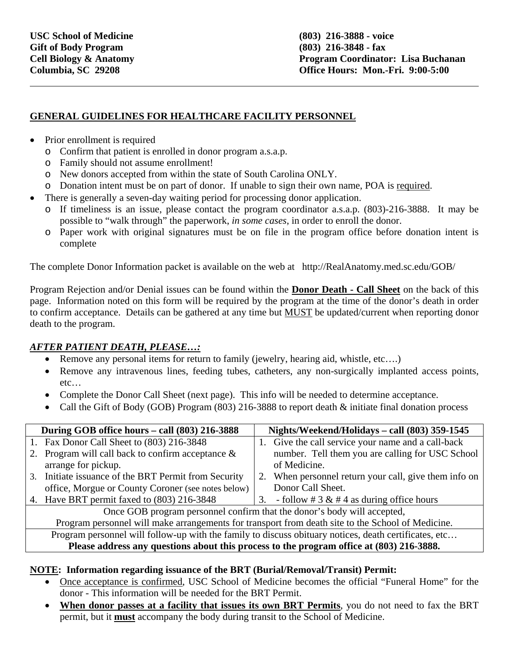l

## **GENERAL GUIDELINES FOR HEALTHCARE FACILITY PERSONNEL**

- Prior enrollment is required
	- o Confirm that patient is enrolled in donor program a.s.a.p.
	- o Family should not assume enrollment!
	- o New donors accepted from within the state of South Carolina ONLY.
	- o Donation intent must be on part of donor. If unable to sign their own name, POA is required.
- There is generally a seven-day waiting period for processing donor application.
	- o If timeliness is an issue, please contact the program coordinator a.s.a.p. (803)-216-3888. It may be possible to "walk through" the paperwork, *in some cases*, in order to enroll the donor.
	- o Paper work with original signatures must be on file in the program office before donation intent is complete

The complete Donor Information packet is available on the web at http://RealAnatomy.med.sc.edu/GOB/

Program Rejection and/or Denial issues can be found within the **Donor Death - Call Sheet** on the back of this page. Information noted on this form will be required by the program at the time of the donor's death in order to confirm acceptance. Details can be gathered at any time but MUST be updated/current when reporting donor death to the program.

## *AFTER PATIENT DEATH, PLEASE…:*

- Remove any personal items for return to family (jewelry, hearing aid, whistle, etc….)
- Remove any intravenous lines, feeding tubes, catheters, any non-surgically implanted access points, etc…
- Complete the Donor Call Sheet (next page). This info will be needed to determine acceptance.
- Call the Gift of Body (GOB) Program (803) 216-3888 to report death & initiate final donation process

| During GOB office hours - call (803) 216-3888                                                         |                                                                                          | Nights/Weekend/Holidays - call (803) 359-1545 |                                                       |  |  |
|-------------------------------------------------------------------------------------------------------|------------------------------------------------------------------------------------------|-----------------------------------------------|-------------------------------------------------------|--|--|
|                                                                                                       | 1. Fax Donor Call Sheet to (803) 216-3848                                                |                                               | 1. Give the call service your name and a call-back    |  |  |
|                                                                                                       | 2. Program will call back to confirm acceptance $\&$                                     |                                               | number. Tell them you are calling for USC School      |  |  |
|                                                                                                       | arrange for pickup.                                                                      |                                               | of Medicine.                                          |  |  |
|                                                                                                       | 3. Initiate issuance of the BRT Permit from Security                                     |                                               | 2. When personnel return your call, give them info on |  |  |
|                                                                                                       | office, Morgue or County Coroner (see notes below)                                       |                                               | Donor Call Sheet.                                     |  |  |
|                                                                                                       | 4. Have BRT permit faxed to (803) 216-3848                                               | 3.                                            | - follow # 3 & # 4 as during office hours             |  |  |
| Once GOB program personnel confirm that the donor's body will accepted,                               |                                                                                          |                                               |                                                       |  |  |
| Program personnel will make arrangements for transport from death site to the School of Medicine.     |                                                                                          |                                               |                                                       |  |  |
| Program personnel will follow-up with the family to discuss obituary notices, death certificates, etc |                                                                                          |                                               |                                                       |  |  |
|                                                                                                       | Please address any questions about this process to the program office at (803) 216-3888. |                                               |                                                       |  |  |

## **NOTE: Information regarding issuance of the BRT (Burial/Removal/Transit) Permit:**

- Once acceptance is confirmed, USC School of Medicine becomes the official "Funeral Home" for the donor - This information will be needed for the BRT Permit.
- **When donor passes at a facility that issues its own BRT Permits**, you do not need to fax the BRT permit, but it **must** accompany the body during transit to the School of Medicine.